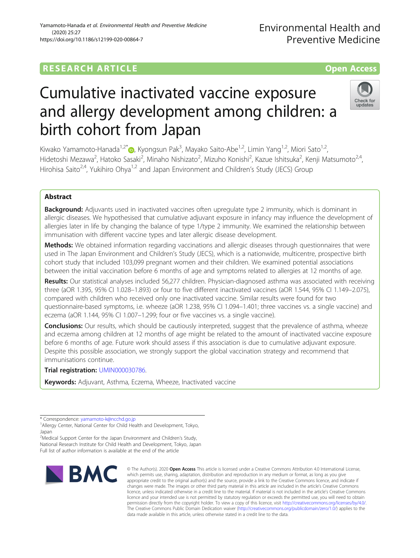## Yamamoto-Hanada et al. Environmental Health and Preventive Medicine (2020) 25:27 https://doi.org/10.1186/s12199-020-00864-7

# Cumulative inactivated vaccine exposure and allergy development among children: a birth cohort from Japan

Kiwako Yamamoto-Hanada<sup>1[,](http://orcid.org/0000-0003-1288-9620)2\*</sup>®, Kyongsun Pak<sup>3</sup>, Mayako Saito-Abe<sup>1,2</sup>, Limin Yang<sup>1,2</sup>, Miori Sato<sup>1,2</sup>, Hidetoshi Mezawa<sup>2</sup>, Hatoko Sasaki<sup>2</sup>, Minaho Nishizato<sup>2</sup>, Mizuho Konishi<sup>2</sup>, Kazue Ishitsuka<sup>2</sup>, Kenji Matsumoto<sup>2,4</sup>, Hirohisa Saito<sup>2,4</sup>, Yukihiro Ohya<sup>1,2</sup> and Japan Environment and Children's Study (JECS) Group

# Abstract

**Background:** Adjuvants used in inactivated vaccines often upregulate type 2 immunity, which is dominant in allergic diseases. We hypothesised that cumulative adjuvant exposure in infancy may influence the development of allergies later in life by changing the balance of type 1/type 2 immunity. We examined the relationship between immunisation with different vaccine types and later allergic disease development.

Methods: We obtained information regarding vaccinations and allergic diseases through questionnaires that were used in The Japan Environment and Children's Study (JECS), which is a nationwide, multicentre, prospective birth cohort study that included 103,099 pregnant women and their children. We examined potential associations between the initial vaccination before 6 months of age and symptoms related to allergies at 12 months of age.

Results: Our statistical analyses included 56,277 children. Physician-diagnosed asthma was associated with receiving three (aOR 1.395, 95% CI 1.028–1.893) or four to five different inactivated vaccines (aOR 1.544, 95% CI 1.149–2.075), compared with children who received only one inactivated vaccine. Similar results were found for two questionnaire-based symptoms, i.e. wheeze (aOR 1.238, 95% CI 1.094–1.401; three vaccines vs. a single vaccine) and eczema (aOR 1.144, 95% CI 1.007–1.299; four or five vaccines vs. a single vaccine).

**Conclusions:** Our results, which should be cautiously interpreted, suggest that the prevalence of asthma, wheeze and eczema among children at 12 months of age might be related to the amount of inactivated vaccine exposure before 6 months of age. Future work should assess if this association is due to cumulative adjuvant exposure. Despite this possible association, we strongly support the global vaccination strategy and recommend that immunisations continue.

Trial registration: [UMIN000030786](https://upload.umin.ac.jp/cgi-open-bin/ctr/ctr_view.cgi?recptno=R000035091).

Keywords: Adjuvant, Asthma, Eczema, Wheeze, Inactivated vaccine

\* Correspondence: [yamamoto-k@ncchd.go.jp](mailto:yamamoto-k@ncchd.go.jp) <sup>1</sup>

<sup>2</sup> Medical Support Center for the Japan Environment and Children's Study, National Research Institute for Child Health and Development, Tokyo, Japan Full list of author information is available at the end of the article





Check for updates



<sup>&</sup>lt;sup>1</sup> Allergy Center, National Center for Child Health and Development, Tokyo, Japan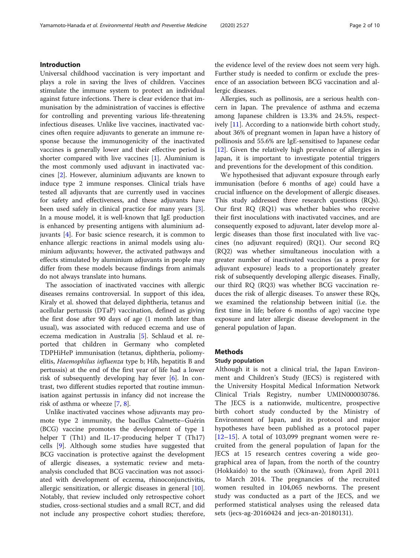## Introduction

Universal childhood vaccination is very important and plays a role in saving the lives of children. Vaccines stimulate the immune system to protect an individual against future infections. There is clear evidence that immunisation by the administration of vaccines is effective for controlling and preventing various life-threatening infectious diseases. Unlike live vaccines, inactivated vaccines often require adjuvants to generate an immune response because the immunogenicity of the inactivated vaccines is generally lower and their effective period is shorter compared with live vaccines  $[1]$  $[1]$ . Aluminium is the most commonly used adjuvant in inactivated vaccines [[2\]](#page-8-0). However, aluminium adjuvants are known to induce type 2 immune responses. Clinical trials have tested all adjuvants that are currently used in vaccines for safety and effectiveness, and these adjuvants have been used safely in clinical practice for many years [\[3](#page-8-0)]. In a mouse model, it is well-known that IgE production is enhanced by presenting antigens with aluminium adjuvants [[4\]](#page-8-0). For basic science research, it is common to enhance allergic reactions in animal models using aluminium adjuvants; however, the activated pathways and effects stimulated by aluminium adjuvants in people may differ from these models because findings from animals do not always translate into humans.

The association of inactivated vaccines with allergic diseases remains controversial. In support of this idea, Kiraly et al. showed that delayed diphtheria, tetanus and acellular pertussis (DTaP) vaccination, defined as giving the first dose after 90 days of age (1 month later than usual), was associated with reduced eczema and use of eczema medication in Australia [[5\]](#page-8-0). Schlaud et al. reported that children in Germany who completed TDPHiHeP immunisation (tetanus, diphtheria, poliomyelitis, Haemophilus influenza type b; Hib, hepatitis B and pertussis) at the end of the first year of life had a lower risk of subsequently developing hay fever [\[6](#page-8-0)]. In contrast, two different studies reported that routine immunisation against pertussis in infancy did not increase the risk of asthma or wheeze [\[7](#page-8-0), [8](#page-8-0)].

Unlike inactivated vaccines whose adjuvants may promote type 2 immunity, the bacillus Calmette–Guérin (BCG) vaccine promotes the development of type 1 helper T (Th1) and IL-17-producing helper T (Th17) cells [\[9](#page-8-0)]. Although some studies have suggested that BCG vaccination is protective against the development of allergic diseases, a systematic review and metaanalysis concluded that BCG vaccination was not associated with development of eczema, rhinoconjunctivitis, allergic sensitization, or allergic diseases in general [\[10](#page-8-0)]. Notably, that review included only retrospective cohort studies, cross-sectional studies and a small RCT, and did not include any prospective cohort studies; therefore,

the evidence level of the review does not seem very high. Further study is needed to confirm or exclude the presence of an association between BCG vaccination and allergic diseases.

Allergies, such as pollinosis, are a serious health concern in Japan. The prevalence of asthma and eczema among Japanese children is 13.3% and 24.5%, respectively [[11](#page-8-0)]. According to a nationwide birth cohort study, about 36% of pregnant women in Japan have a history of pollinosis and 55.6% are IgE-sensitised to Japanese cedar [[12\]](#page-8-0). Given the relatively high prevalence of allergies in Japan, it is important to investigate potential triggers and preventions for the development of this condition.

We hypothesised that adjuvant exposure through early immunisation (before 6 months of age) could have a crucial influence on the development of allergic diseases. This study addressed three research questions (RQs). Our first RQ (RQ1) was whether babies who receive their first inoculations with inactivated vaccines, and are consequently exposed to adjuvant, later develop more allergic diseases than those first inoculated with live vaccines (no adjuvant required) (RQ1). Our second RQ (RQ2) was whether simultaneous inoculation with a greater number of inactivated vaccines (as a proxy for adjuvant exposure) leads to a proportionately greater risk of subsequently developing allergic diseases. Finally, our third RQ (RQ3) was whether BCG vaccination reduces the risk of allergic diseases. To answer these RQs, we examined the relationship between initial (i.e. the first time in life; before 6 months of age) vaccine type exposure and later allergic disease development in the general population of Japan.

## Methods

## Study population

Although it is not a clinical trial, the Japan Environment and Children's Study (JECS) is registered with the University Hospital Medical Information Network Clinical Trials Registry, number UMIN000030786. The JECS is a nationwide, multicentre, prospective birth cohort study conducted by the Ministry of Environment of Japan, and its protocol and major hypotheses have been published as a protocol paper  $[12–15]$  $[12–15]$  $[12–15]$  $[12–15]$ . A total of 103,099 pregnant women were recruited from the general population of Japan for the JECS at 15 research centres covering a wide geographical area of Japan, from the north of the country (Hokkaido) to the south (Okinawa), from April 2011 to March 2014. The pregnancies of the recruited women resulted in 104,065 newborns. The present study was conducted as a part of the JECS, and we performed statistical analyses using the released data sets (jecs-ag-20160424 and jecs-an-20180131).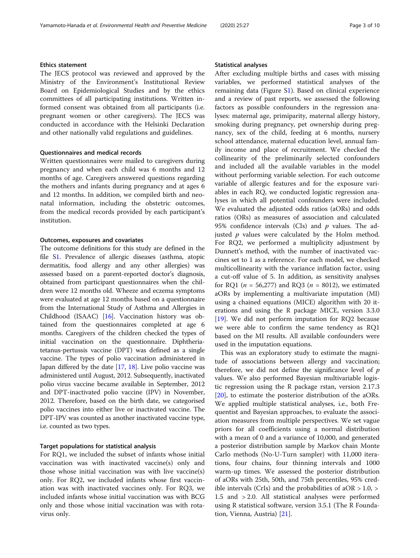## Ethics statement

The JECS protocol was reviewed and approved by the Ministry of the Environment's Institutional Review Board on Epidemiological Studies and by the ethics committees of all participating institutions. Written informed consent was obtained from all participants (i.e. pregnant women or other caregivers). The JECS was conducted in accordance with the Helsinki Declaration and other nationally valid regulations and guidelines.

## Questionnaires and medical records

Written questionnaires were mailed to caregivers during pregnancy and when each child was 6 months and 12 months of age. Caregivers answered questions regarding the mothers and infants during pregnancy and at ages 6 and 12 months. In addition, we compiled birth and neonatal information, including the obstetric outcomes, from the medical records provided by each participant's institution.

#### Outcomes, exposures and covariates

The outcome definitions for this study are defined in the file [S1](#page-7-0). Prevalence of allergic diseases (asthma, atopic dermatitis, food allergy and any other allergies) was assessed based on a parent-reported doctor's diagnosis, obtained from participant questionnaires when the children were 12 months old. Wheeze and eczema symptoms were evaluated at age 12 months based on a questionnaire from the International Study of Asthma and Allergies in Childhood (ISAAC) [[16](#page-8-0)]. Vaccination history was obtained from the questionnaires completed at age 6 months. Caregivers of the children checked the types of initial vaccination on the questionnaire. Diphtheriatetanus-pertussis vaccine (DPT) was defined as a single vaccine. The types of polio vaccination administered in Japan differed by the date  $[17, 18]$  $[17, 18]$  $[17, 18]$ . Live polio vaccine was administered until August, 2012. Subsequently, inactivated polio virus vaccine became available in September, 2012 and DPT-inactivated polio vaccine (IPV) in November, 2012. Therefore, based on the birth date, we categorised polio vaccines into either live or inactivated vaccine. The DPT-IPV was counted as another inactivated vaccine type, i.e. counted as two types.

#### Target populations for statistical analysis

For RQ1, we included the subset of infants whose initial vaccination was with inactivated vaccine(s) only and those whose initial vaccination was with live vaccine(s) only. For RQ2, we included infants whose first vaccination was with inactivated vaccines only. For RQ3, we included infants whose initial vaccination was with BCG only and those whose initial vaccination was with rotavirus only.

#### Statistical analyses

After excluding multiple births and cases with missing variables, we performed statistical analyses of the remaining data (Figure S[1\)](#page-7-0). Based on clinical experience and a review of past reports, we assessed the following factors as possible confounders in the regression analyses: maternal age, primiparity, maternal allergy history, smoking during pregnancy, pet ownership during pregnancy, sex of the child, feeding at 6 months, nursery school attendance, maternal education level, annual family income and place of recruitment. We checked the collinearity of the preliminarily selected confounders and included all the available variables in the model without performing variable selection. For each outcome variable of allergic features and for the exposure variables in each RQ, we conducted logistic regression analyses in which all potential confounders were included. We evaluated the adjusted odds ratios (aORs) and odds ratios (ORs) as measures of association and calculated 95% confidence intervals (CIs) and  $p$  values. The adjusted  $p$  values were calculated by the Holm method. For RQ2, we performed a multiplicity adjustment by Dunnett's method, with the number of inactivated vaccines set to 1 as a reference. For each model, we checked multicollinearity with the variance inflation factor, using a cut-off value of 5. In addition, as sensitivity analyses for RQ1 ( $n = 56,277$ ) and RQ3 ( $n = 8012$ ), we estimated aORs by implementing a multivariate imputation (MI) using a chained equations (MICE) algorithm with 20 iterations and using the R package MICE, version 3.3.0 [[19\]](#page-8-0). We did not perform imputation for RQ2 because we were able to confirm the same tendency as RQ1 based on the MI results. All available confounders were used in the imputation equations.

This was an exploratory study to estimate the magnitude of associations between allergy and vaccination; therefore, we did not define the significance level of  $p$ values. We also performed Bayesian multivariable logistic regression using the R package rstan, version 2.17.3 [[20\]](#page-8-0), to estimate the posterior distribution of the aORs. We applied multiple statistical analyses, i.e., both Frequentist and Bayesian approaches, to evaluate the association measures from multiple perspectives. We set vague priors for all coefficients using a normal distribution with a mean of 0 and a variance of 10,000, and generated a posterior distribution sample by Markov chain Monte Carlo methods (No-U-Turn sampler) with 11,000 iterations, four chains, four thinning intervals and 1000 warm-up times. We assessed the posterior distribution of aORs with 25th, 50th, and 75th percentiles, 95% credible intervals (CrIs) and the probabilities of aOR  $> 1.0, >$ 1.5 and > 2.0. All statistical analyses were performed using R statistical software, version 3.5.1 (The R Foundation, Vienna, Austria) [\[21](#page-8-0)].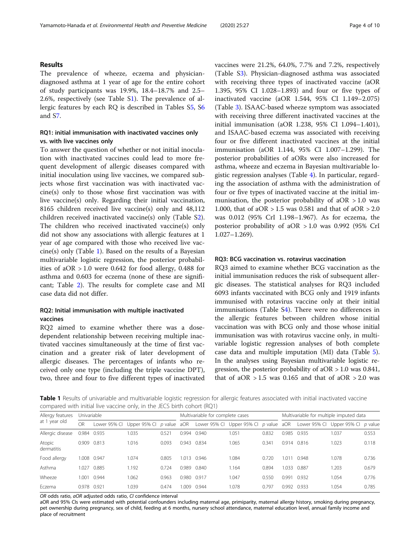## Results

The prevalence of wheeze, eczema and physiciandiagnosed asthma at 1 year of age for the entire cohort of study participants was 19.9%, 18.4–18.7% and 2.5– 2.6%, respectively (see Table S[1](#page-7-0)). The prevalence of allergic features by each RQ is described in Tables S[5,](#page-7-0) S[6](#page-7-0) and S[7.](#page-7-0)

## RQ1: initial immunisation with inactivated vaccines only vs. with live vaccines only

To answer the question of whether or not initial inoculation with inactivated vaccines could lead to more frequent development of allergic diseases compared with initial inoculation using live vaccines, we compared subjects whose first vaccination was with inactivated vaccine(s) only to those whose first vaccination was with live vaccine(s) only. Regarding their initial vaccination, 8165 children received live vaccine(s) only and 48,112 children received inactivated vaccine(s) only (Table [S2](#page-7-0)). The children who received inactivated vaccine(s) only did not show any associations with allergic features at 1 year of age compared with those who received live vaccine(s) only (Table 1). Based on the results of a Bayesian multivariable logistic regression, the posterior probabilities of aOR > 1.0 were 0.642 for food allergy, 0.488 for asthma and 0.603 for eczema (none of these are significant; Table [2](#page-4-0)). The results for complete case and MI case data did not differ.

## RQ2: Initial immunisation with multiple inactivated vaccines

RQ2 aimed to examine whether there was a dosedependent relationship between receiving multiple inactivated vaccines simultaneously at the time of first vaccination and a greater risk of later development of allergic diseases. The percentages of infants who received only one type (including the triple vaccine DPT), two, three and four to five different types of inactivated vaccines were 21.2%, 64.0%, 7.7% and 7.2%, respectively (Table S[3\)](#page-7-0). Physician-diagnosed asthma was associated with receiving three types of inactivated vaccine (aOR 1.395, 95% CI 1.028–1.893) and four or five types of inactivated vaccine (aOR 1.544, 95% CI 1.149–2.075) (Table [3\)](#page-4-0). ISAAC-based wheeze symptom was associated with receiving three different inactivated vaccines at the initial immunisation (aOR 1.238, 95% CI 1.094–1.401), and ISAAC-based eczema was associated with receiving four or five different inactivated vaccines at the initial immunisation (aOR 1.144, 95% CI 1.007–1.299). The posterior probabilities of aORs were also increased for asthma, wheeze and eczema in Bayesian multivariable logistic regression analyses (Table [4](#page-5-0)). In particular, regarding the association of asthma with the administration of four or five types of inactivated vaccine at the initial immunisation, the posterior probability of  $aOR > 1.0$  was 1.000, that of  $aOR > 1.5$  was 0.581 and that of  $aOR > 2.0$ was 0.012 (95% CrI 1.198–1.967). As for eczema, the posterior probability of aOR > 1.0 was 0.992 (95% CrI 1.027–1.269).

## RQ3: BCG vaccination vs. rotavirus vaccination

RQ3 aimed to examine whether BCG vaccination as the initial immunisation reduces the risk of subsequent allergic diseases. The statistical analyses for RQ3 included 6093 infants vaccinated with BCG only and 1919 infants immunised with rotavirus vaccine only at their initial immunisations (Table S[4\)](#page-7-0). There were no differences in the allergic features between children whose initial vaccination was with BCG only and those whose initial immunisation was with rotavirus vaccine only, in multivariable logistic regression analyses of both complete case data and multiple imputation (MI) data (Table [5](#page-5-0)). In the analyses using Bayesian multivariable logistic regression, the posterior probability of aOR > 1.0 was 0.841, that of  $aOR > 1.5$  was 0.165 and that of  $aOR > 2.0$  was

Table 1 Results of univariable and multivariable logistic regression for allergic features associated with initial inactivated vaccine compared with initial live vaccine only, in the JECS birth cohort (RQ1)

| Allergy features<br>at 1 year old | Univariable |              |              |         |             | Multivariable for complete cases |                           |                 |       | Multivariable for multiple imputed data |                        |       |  |
|-----------------------------------|-------------|--------------|--------------|---------|-------------|----------------------------------|---------------------------|-----------------|-------|-----------------------------------------|------------------------|-------|--|
|                                   | OR          | Lower 95% CI | Upper 95% CI | p value | aOR         |                                  | Lower 95% CI Upper 95% CI | $p$ value $aOR$ |       | Lower 95% Cl                            | Upper 95% Cl $p$ value |       |  |
| Allergic disease                  | 0.984       | 0.935        | 1.035        | 0.521   | 0.994       | 0.940                            | 1.051                     | 0.832           | 0.985 | 0.935                                   | 1.037                  | 0.553 |  |
| Atopic<br>dermatitis              | 0.909       | 0.813        | 1.016        | 0.093   | 0.943       | 0.834                            | 1.065                     | 0.341           | 0.914 | 0.816                                   | 1.023                  | 0.118 |  |
| Food allergy                      |             | 1.008 0.947  | 1.074        | 0.805   | 1.013       | 0.946                            | 1.084                     | 0.720           | .01   | 0.948                                   | 1.078                  | 0.736 |  |
| Asthma                            | 1.027       | 0.885        | 1.192        | 0.724   | 0.989       | 0.840                            | 1.164                     | 0.894           | 1.033 | 0.887                                   | 1.203                  | 0.679 |  |
| Wheeze                            | 1.001       | 0.944        | 1.062        | 0.963   | 0.980 0.917 |                                  | 1.047                     | 0.550           | 0.991 | 0.932                                   | 1.054                  | 0.776 |  |
| Fczema                            | 0.978 0.921 |              | 039          | 0.474   | 0001        | 0.944                            | 1.078                     | 0.797           | 0.992 | 0.933                                   | .054                   | 0.785 |  |

OR odds ratio, aOR adjusted odds ratio, CI confidence interval

aOR and 95% CIs were estimated with potential confounders including maternal age, primiparity, maternal allergy history, smoking during pregnancy, pet ownership during pregnancy, sex of child, feeding at 6 months, nursery school attendance, maternal education level, annual family income and place of recruitment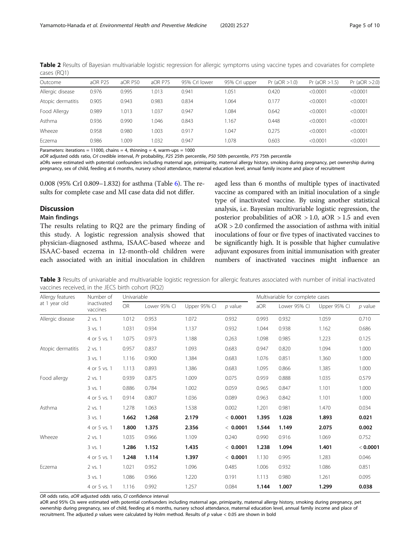| Outcome           | aOR P25 | aOR P50 | aOR P75 | 95% Crl lower | 95% Crl upper | Pr (aOR > 1.0) | Pr (aOR > 1.5) | Pr (aOR > 2.0) |
|-------------------|---------|---------|---------|---------------|---------------|----------------|----------------|----------------|
| Allergic disease  | 0.976   | 0.995   | 1.013   | 0.941         | .051          | 0.420          | < 0.0001       | < 0.0001       |
| Atopic dermatitis | 0.905   | 0.943   | 0.983   | 0.834         | .064          | 0.177          | < 0.0001       | < 0.0001       |
| Food Allergy      | 0.989   | .013    | .037    | 0.947         | .084          | 0.642          | < 0.0001       | < 0.0001       |
| Asthma            | 0.936   | 0.990   | .046    | 0.843         | 1.167         | 0.448          | < 0.0001       | < 0.0001       |
| Wheeze            | 0.958   | 0.980   | .003    | 0.917         | 1.047         | 0.275          | < 0.0001       | < 0.0001       |
| Eczema            | 0.986   | .009    | 1.032   | 0.947         | 1.078         | 0.603          | < 0.0001       | < 0.0001       |

<span id="page-4-0"></span>Table 2 Results of Bayesian multivariable logistic regression for allergic symptoms using vaccine types and covariates for complete cases (RQ1)

Parameters: iterations = 11000, chains = 4, thinning = 4, warm-ups = 1000

aOR adjusted odds ratio, CrI credible interval, Pr probability, P25 25th percentile, P50 50th percentile, P75 75th percentile

aORs were estimated with potential confounders including maternal age, primiparity, maternal allergy history, smoking during pregnancy, pet ownership during pregnancy, sex of child, feeding at 6 months, nursery school attendance, maternal education level, annual family income and place of recruitment

0.008 (95% CrI 0.809–1.832) for asthma (Table [6](#page-6-0)). The results for complete case and MI case data did not differ.

#### **Discussion**

#### Main findings

The results relating to RQ2 are the primary finding of this study. A logistic regression analysis showed that physician-diagnosed asthma, ISAAC-based wheeze and ISAAC-based eczema in 12-month-old children were each associated with an initial inoculation in children

aged less than 6 months of multiple types of inactivated vaccine as compared with an initial inoculation of a single type of inactivated vaccine. By using another statistical analysis, i.e. Bayesian multivariable logistic regression, the posterior probabilities of aOR  $> 1.0$ , aOR  $> 1.5$  and even aOR > 2.0 confirmed the association of asthma with initial inoculations of four or five types of inactivated vaccines to be significantly high. It is possible that higher cumulative adjuvant exposures from initial immunisation with greater numbers of inactivated vaccines might influence an

Table 3 Results of univariable and multivariable logistic regression for allergic features associated with number of initial inactivated vaccines received, in the JECS birth cohort (RQ2)

| Allergy features  | Number of               | Univariable |              |              |           |       | Multivariable for complete cases |              |           |  |  |  |
|-------------------|-------------------------|-------------|--------------|--------------|-----------|-------|----------------------------------|--------------|-----------|--|--|--|
| at 1 year old     | inactivated<br>vaccines | OR          | Lower 95% CI | Upper 95% CI | $p$ value | aOR   | Lower 95% CI                     | Upper 95% CI | $p$ value |  |  |  |
| Allergic disease  | 2 vs. 1                 | 1.012       | 0.953        | 1.072        | 0.932     | 0.993 | 0.932                            | 1.059        | 0.710     |  |  |  |
|                   | 3 vs. 1                 | 1.031       | 0.934        | 1.137        | 0.932     | 1.044 | 0.938                            | 1.162        | 0.686     |  |  |  |
|                   | 4 or 5 vs. 1            | 1.075       | 0.973        | 1.188        | 0.263     | 1.098 | 0.985                            | 1.223        | 0.125     |  |  |  |
| Atopic dermatitis | 2 vs. 1                 | 0.957       | 0.837        | 1.093        | 0.683     | 0.947 | 0.820                            | 1.094        | 1.000     |  |  |  |
|                   | 3 vs. 1                 | 1.116       | 0.900        | 1.384        | 0.683     | 1.076 | 0.851                            | 1.360        | 1.000     |  |  |  |
|                   | 4 or 5 vs. 1            | 1.113       | 0.893        | 1.386        | 0.683     | 1.095 | 0.866                            | 1.385        | 1.000     |  |  |  |
| Food allergy      | 2 vs. 1                 | 0.939       | 0.875        | 1.009        | 0.075     | 0.959 | 0.888                            | 1.035        | 0.579     |  |  |  |
|                   | 3 vs. 1                 | 0.886       | 0.784        | 1.002        | 0.059     | 0.965 | 0.847                            | 1.101        | 1.000     |  |  |  |
|                   | 4 or 5 vs. 1            | 0.914       | 0.807        | 1.036        | 0.089     | 0.963 | 0.842                            | 1.101        | 1.000     |  |  |  |
| Asthma            | 2 vs. 1                 | 1.278       | 1.063        | 1.538        | 0.002     | 1.201 | 0.981                            | 1.470        | 0.034     |  |  |  |
|                   | 3 vs. 1                 | 1.662       | 1.268        | 2.179        | < 0.0001  | 1.395 | 1.028                            | 1.893        | 0.021     |  |  |  |
|                   | 4 or 5 vs. 1            | 1.800       | 1.375        | 2.356        | < 0.0001  | 1.544 | 1.149                            | 2.075        | 0.002     |  |  |  |
| Wheeze            | 2 vs. 1                 | 1.035       | 0.966        | 1.109        | 0.240     | 0.990 | 0.916                            | 1.069        | 0.752     |  |  |  |
|                   | 3 vs. 1                 | 1.286       | 1.152        | 1.435        | < 0.0001  | 1.238 | 1.094                            | 1.401        | < 0.0001  |  |  |  |
|                   | 4 or 5 vs. 1            | 1.248       | 1.114        | 1.397        | < 0.0001  | 1.130 | 0.995                            | 1.283        | 0.046     |  |  |  |
| Eczema            | 2 vs. 1                 | 1.021       | 0.952        | 1.096        | 0.485     | 1.006 | 0.932                            | 1.086        | 0.851     |  |  |  |
|                   | 3 vs. 1                 | 1.086       | 0.966        | 1.220        | 0.191     | 1.113 | 0.980                            | 1.261        | 0.095     |  |  |  |
|                   | 4 or 5 vs. 1            | 1.116       | 0.992        | 1.257        | 0.084     | 1.144 | 1.007                            | 1.299        | 0.038     |  |  |  |

OR odds ratio, aOR adjusted odds ratio, CI confidence interval

aOR and 95% CIs were estimated with potential confounders including maternal age, primiparity, maternal allergy history, smoking during pregnancy, pet ownership during pregnancy, sex of child, feeding at 6 months, nursery school attendance, maternal education level, annual family income and place of recruitment. The adjusted  $p$  values were calculated by Holm method. Results of  $p$  value < 0.05 are shown in bold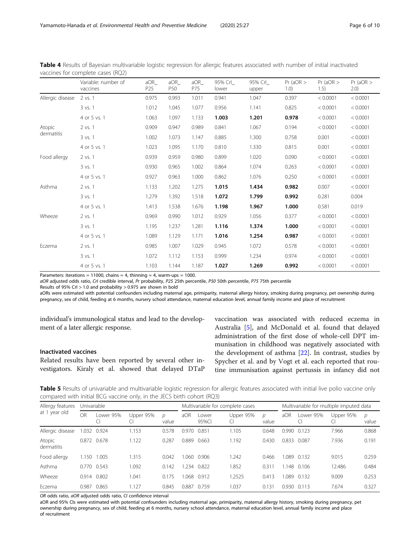|                  | Variable: number of<br>vaccines | aOR<br>P <sub>25</sub> | aOR<br>P <sub>50</sub> | aOR<br>P75 | 95% Crl_<br>lower | 95% Crl<br>upper | $Pr$ (aOR $>$<br>1.0) | $Pr$ (aOR $>$<br>1.5) | $Pr$ (aOR $>$<br>2.0) |
|------------------|---------------------------------|------------------------|------------------------|------------|-------------------|------------------|-----------------------|-----------------------|-----------------------|
| Allergic disease | 2 vs. 1                         | 0.975                  | 0.993                  | 1.011      | 0.941             | 1.047            | 0.397                 | < 0.0001              | < 0.0001              |
|                  | $3$ vs. $1$                     | 1.012                  | 1.045                  | 1.077      | 0.956             | 1.141            | 0.825                 | < 0.0001              | < 0.0001              |
|                  | 4 or 5 vs. 1                    | 1.063                  | 1.097                  | 1.133      | 1.003             | 1.201            | 0.978                 | < 0.0001              | < 0.0001              |
| Atopic           | 2 vs. 1                         | 0.909                  | 0.947                  | 0.989      | 0.841             | 1.067            | 0.194                 | < 0.0001              | < 0.0001              |
| dermatitis       | 3 vs. 1                         | 1.002                  | 1.073                  | 1.147      | 0.885             | 1.300            | 0.758                 | 0.001                 | < 0.0001              |
|                  | 4 or 5 vs. 1                    | 1.023                  | 1.095                  | 1.170      | 0.810             | 1.330            | 0.815                 | 0.001                 | < 0.0001              |
| Food allergy     | 2 vs. 1                         | 0.939                  | 0.959                  | 0.980      | 0.899             | 1.020            | 0.090                 | < 0.0001              | < 0.0001              |
|                  | $3$ vs. $1$                     | 0.930                  | 0.965                  | 1.002      | 0.864             | 1.074            | 0.263                 | < 0.0001              | < 0.0001              |
|                  | 4 or 5 vs. 1                    | 0.927                  | 0.963                  | 1.000      | 0.862             | 1.076            | 0.250                 | < 0.0001              | < 0.0001              |
| Asthma           | 2 vs. 1                         | 1.133                  | 1.202                  | 1.275      | 1.015             | 1.434            | 0.982                 | 0.007                 | < 0.0001              |
|                  | 3 vs. 1                         | 1.279                  | 1.392                  | 1.518      | 1.072             | 1.799            | 0.992                 | 0.281                 | 0.004                 |
|                  | 4 or 5 vs. 1                    | 1.413                  | 1.538                  | 1.676      | 1.198             | 1.967            | 1.000                 | 0.581                 | 0.019                 |
| Wheeze           | 2 vs. 1                         | 0.969                  | 0.990                  | 1.012      | 0.929             | 1.056            | 0.377                 | < 0.0001              | < 0.0001              |
|                  | 3 vs. 1                         | 1.195                  | 1.237                  | 1.281      | 1.116             | 1.374            | 1.000                 | < 0.0001              | < 0.0001              |
|                  | 4 or 5 vs. 1                    | 1.089                  | 1.129                  | 1.171      | 1.016             | 1.254            | 0.987                 | < 0.0001              | < 0.0001              |
| Eczema           | 2 vs. 1                         | 0.985                  | 1.007                  | 1.029      | 0.945             | 1.072            | 0.578                 | < 0.0001              | < 0.0001              |
|                  | 3 vs. 1                         | 1.072                  | 1.112                  | 1.153      | 0.999             | 1.234            | 0.974                 | < 0.0001              | < 0.0001              |
|                  | 4 or 5 vs. 1                    | 1.103                  | 1.144                  | 1.187      | 1.027             | 1.269            | 0.992                 | < 0.0001              | < 0.0001              |

<span id="page-5-0"></span>Table 4 Results of Bayesian multivariable logistic regression for allergic features associated with number of initial inactivated vaccines for complete cases (RQ2)

Parameters: iterations = 11000, chains = 4, thinning = 4, warm-ups = 1000.

aOR adjusted odds ratio, CrI credible interval, Pr probability, P25 25th percentile, P50 50th percentile, P75 75th percentile

Results of 95% CrI  $>$  1.0 and probability  $>$  0.975 are shown in bold

aORs were estimated with potential confounders including maternal age, primiparity, maternal allergy history, smoking during pregnancy, pet ownership during pregnancy, sex of child, feeding at 6 months, nursery school attendance, maternal education level, annual family income and place of recruitment

individual's immunological status and lead to the development of a later allergic response.

## Inactivated vaccines

Related results have been reported by several other investigators. Kiraly et al. showed that delayed DTaP vaccination was associated with reduced eczema in Australia [\[5](#page-8-0)], and McDonald et al. found that delayed administration of the first dose of whole-cell DPT immunisation in childhood was negatively associated with the development of asthma [\[22\]](#page-8-0). In contrast, studies by Spycher et al. and by Vogt et al. each reported that routine immunisation against pertussis in infancy did not

Table 5 Results of univariable and multivariable logistic regression for allergic features associated with initial live polio vaccine only compared with initial BCG vaccine only, in the JECS birth cohort (RQ3)

| Allergy features<br>at 1 year old | Univariable |           |           |            |       | Multivariable for complete cases |           |            |       | Multivariable for multiple imputed data |           |                        |  |
|-----------------------------------|-------------|-----------|-----------|------------|-------|----------------------------------|-----------|------------|-------|-----------------------------------------|-----------|------------------------|--|
|                                   | OR          | Lower 95% | Upper 95% | D<br>value | aOR   | Lower<br>95%CI                   | Upper 95% | D<br>value | aOR   | Lower 95%                               | Upper 95% | $\mathcal{D}$<br>value |  |
| Allergic disease                  | .032        | 0.924     | 1.153     | 0.578      | 0.970 | 0.851                            | 1.105     | 0.648      | 0.990 | 0.123                                   | 7.966     | 0.868                  |  |
| Atopic<br>dermatitis              | 0.872 0.678 |           | 1.122     | 0.287      | 0.889 | 0.663                            | 1.192     | 0.430      | 0.833 | 0.087                                   | 7.936     | 0.191                  |  |
| Food allergy                      | 1.150       | .005      | .315      | 0.042      | 1.060 | 0.906                            | .242      | 0.466      | 1.089 | 0.132                                   | 9.015     | 0.259                  |  |
| Asthma                            | 0.770       | 0.543     | 1.092     | 0.142      | .234  | 0.822                            | 1.852     | 0.311      | 1.148 | 0.106                                   | 12.486    | 0.484                  |  |
| Wheeze                            | 0.914 0.802 |           | 1.041     | 0.175      | .068  | 0.912                            | 1.2525    | 0.413      | .089  | 0.132                                   | 9.009     | 0.253                  |  |
| Eczema                            | 0.987       | 0.865     | 1.127     | 0.845      | 0.887 | 0.759                            | 1.037     | 0.131      | 0.930 | 0.113                                   | 7.674     | 0.327                  |  |

OR odds ratio, aOR adjusted odds ratio, CI confidence interval

aOR and 95% CIs were estimated with potential confounders including maternal age, primiparity, maternal allergy history, smoking during pregnancy, pet ownership during pregnancy, sex of child, feeding at 6 months, nursery school attendance, maternal education level, annual family income and place of recruitment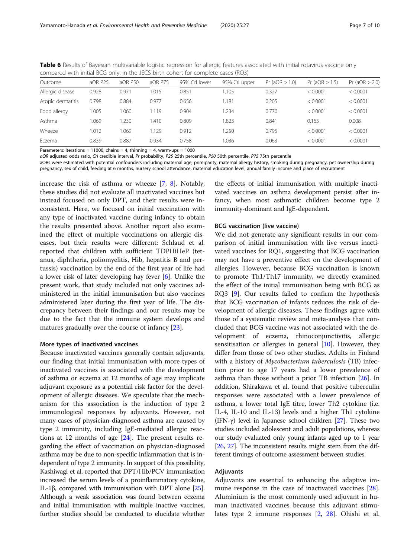<span id="page-6-0"></span>

| Table 6 Results of Bayesian multivariable logistic regression for allergic features associated with initial rotavirus vaccine only |  |  |  |
|------------------------------------------------------------------------------------------------------------------------------------|--|--|--|
| compared with initial BCG only, in the JECS birth cohort for complete cases (RQ3)                                                  |  |  |  |

| Outcome           | aOR P25 | aOR P50 | aOR P75 | 95% Crl lower | 95% Crl upper | Pr (aOR > 1.0) | Pr(aOR > 1.5) | Pr $(aOR > 2.0)$ |
|-------------------|---------|---------|---------|---------------|---------------|----------------|---------------|------------------|
| Allergic disease  | 0.928   | 0.971   | 015     | 0.851         | 105           | 0.327          | < 0.0001      | < 0.0001         |
| Atopic dermatitis | 0.798   | 0.884   | 0.977   | 0.656         | 1.181         | 0.205          | < 0.0001      | < 0.0001         |
| Food allergy      | 1.005   | 1.060   | .119    | 0.904         | .234          | 0.770          | < 0.0001      | < 0.0001         |
| Asthma            | 1.069   | 1.230   | .410    | 0.809         | .823          | 0.841          | 0.165         | 0.008            |
| Wheeze            | 1.012   | 1.069   | .129    | 0.912         | .250          | 0.795          | < 0.0001      | < 0.0001         |
| Eczema            | 0.839   | 0.887   | 0.934   | 0.758         | .036          | 0.063          | < 0.0001      | < 0.0001         |
|                   |         |         |         |               |               |                |               |                  |

Parameters: iterations = 11000, chains = 4, thinning = 4, warm-ups = 1000

aOR adjusted odds ratio, CrI credible interval, Pr probability, P25 25th percentile, P50 50th percentile, P75 75th percentile

aORs were estimated with potential confounders including maternal age, primiparity, maternal allergy history, smoking during pregnancy, pet ownership during pregnancy, sex of child, feeding at 6 months, nursery school attendance, maternal education level, annual family income and place of recruitment

increase the risk of asthma or wheeze [\[7](#page-8-0), [8](#page-8-0)]. Notably, these studies did not evaluate all inactivated vaccines but instead focused on only DPT, and their results were inconsistent. Here, we focused on initial vaccination with any type of inactivated vaccine during infancy to obtain the results presented above. Another report also examined the effect of multiple vaccinations on allergic diseases, but their results were different: Schlaud et al. reported that children with sufficient TDPHiHeP (tetanus, diphtheria, poliomyelitis, Hib, hepatitis B and pertussis) vaccination by the end of the first year of life had a lower risk of later developing hay fever [[6](#page-8-0)]. Unlike the present work, that study included not only vaccines administered in the initial immunisation but also vaccines administered later during the first year of life. The discrepancy between their findings and our results may be due to the fact that the immune system develops and matures gradually over the course of infancy [\[23](#page-9-0)].

## More types of inactivated vaccines

Because inactivated vaccines generally contain adjuvants, our finding that initial immunisation with more types of inactivated vaccines is associated with the development of asthma or eczema at 12 months of age may implicate adjuvant exposure as a potential risk factor for the development of allergic diseases. We speculate that the mechanism for this association is the induction of type 2 immunological responses by adjuvants. However, not many cases of physician-diagnosed asthma are caused by type 2 immunity, including IgE-mediated allergic reactions at 12 months of age [\[24](#page-9-0)]. The present results regarding the effect of vaccination on physician-diagnosed asthma may be due to non-specific inflammation that is independent of type 2 immunity. In support of this possibility, Kashiwagi et al. reported that DPT/Hib/PCV immunisation increased the serum levels of a proinflammatory cytokine, IL-1β, compared with immunisation with DPT alone  $[25]$  $[25]$ . Although a weak association was found between eczema and initial immunisation with multiple inactive vaccines, further studies should be conducted to elucidate whether

the effects of initial immunisation with multiple inactivated vaccines on asthma development persist after infancy, when most asthmatic children become type 2 immunity-dominant and IgE-dependent.

#### BCG vaccination (live vaccine)

We did not generate any significant results in our comparison of initial immunisation with live versus inactivated vaccines for RQ1, suggesting that BCG vaccination may not have a preventive effect on the development of allergies. However, because BCG vaccination is known to promote Th1/Th17 immunity, we directly examined the effect of the initial immunisation being with BCG as RQ3 [[9](#page-8-0)]. Our results failed to confirm the hypothesis that BCG vaccination of infants reduces the risk of development of allergic diseases. These findings agree with those of a systematic review and meta-analysis that concluded that BCG vaccine was not associated with the development of eczema, rhinoconjunctivitis, allergic sensitisation or allergies in general [[10\]](#page-8-0). However, they differ from those of two other studies. Adults in Finland with a history of Mycobacterium tuberculosis (TB) infection prior to age 17 years had a lower prevalence of asthma than those without a prior TB infection  $[26]$ . In addition, Shirakawa et al. found that positive tuberculin responses were associated with a lower prevalence of asthma, a lower total IgE titre, lower Th2 cytokine (i.e. IL-4, IL-10 and IL-13) levels and a higher Th1 cytokine (IFN-γ) level in Japanese school children [[27](#page-9-0)]. These two studies included adolescent and adult populations, whereas our study evaluated only young infants aged up to 1 year [[26](#page-9-0), [27\]](#page-9-0). The inconsistent results might stem from the different timings of outcome assessment between studies.

## Adjuvants

Adjuvants are essential to enhancing the adaptive immune response in the case of inactivated vaccines [\[28](#page-9-0)]. Aluminium is the most commonly used adjuvant in human inactivated vaccines because this adjuvant stimulates type 2 immune responses [\[2,](#page-8-0) [28\]](#page-9-0). Ohishi et al.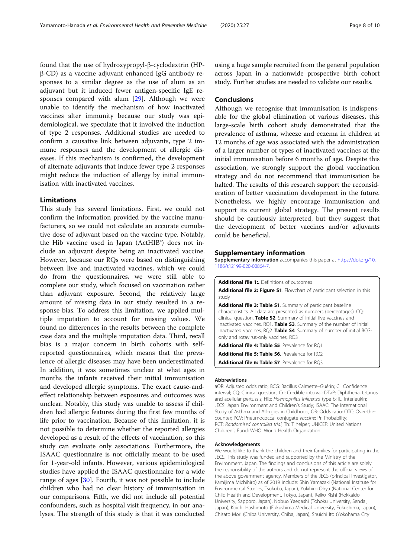<span id="page-7-0"></span>found that the use of hydroxypropyl-β-cyclodextrin (HPβ-CD) as a vaccine adjuvant enhanced IgG antibody responses to a similar degree as the use of alum as an adjuvant but it induced fewer antigen-specific IgE responses compared with alum [[29\]](#page-9-0). Although we were unable to identify the mechanism of how inactivated vaccines alter immunity because our study was epidemiological, we speculate that it involved the induction of type 2 responses. Additional studies are needed to confirm a causative link between adjuvants, type 2 immune responses and the development of allergic diseases. If this mechanism is confirmed, the development of alternate adjuvants that induce fewer type 2 responses might reduce the induction of allergy by initial immunisation with inactivated vaccines.

## Limitations

This study has several limitations. First, we could not confirm the information provided by the vaccine manufacturers, so we could not calculate an accurate cumulative dose of adjuvant based on the vaccine type. Notably, the Hib vaccine used in Japan (ActHIB®) does not include an adjuvant despite being an inactivated vaccine. However, because our RQs were based on distinguishing between live and inactivated vaccines, which we could do from the questionnaires, we were still able to complete our study, which focused on vaccination rather than adjuvant exposure. Second, the relatively large amount of missing data in our study resulted in a response bias. To address this limitation, we applied multiple imputation to account for missing values. We found no differences in the results between the complete case data and the multiple imputation data. Third, recall bias is a major concern in birth cohorts with selfreported questionnaires, which means that the prevalence of allergic diseases may have been underestimated. In addition, it was sometimes unclear at what ages in months the infants received their initial immunisation and developed allergic symptoms. The exact cause-andeffect relationship between exposures and outcomes was unclear. Notably, this study was unable to assess if children had allergic features during the first few months of life prior to vaccination. Because of this limitation, it is not possible to determine whether the reported allergies developed as a result of the effects of vaccination, so this study can evaluate only associations. Furthermore, the ISAAC questionnaire is not officially meant to be used for 1-year-old infants. However, various epidemiological studies have applied the ISAAC questionnaire for a wide range of ages [[30](#page-9-0)]. Fourth, it was not possible to include children who had no clear history of immunisation in our comparisons. Fifth, we did not include all potential confounders, such as hospital visit frequency, in our analyses. The strength of this study is that it was conducted

using a huge sample recruited from the general population across Japan in a nationwide prospective birth cohort study. Further studies are needed to validate our results.

#### **Conclusions**

Although we recognise that immunisation is indispensable for the global elimination of various diseases, this large-scale birth cohort study demonstrated that the prevalence of asthma, wheeze and eczema in children at 12 months of age was associated with the administration of a larger number of types of inactivated vaccines at the initial immunisation before 6 months of age. Despite this association, we strongly support the global vaccination strategy and do not recommend that immunisation be halted. The results of this research support the reconsideration of better vaccination development in the future. Nonetheless, we highly encourage immunisation and support its current global strategy. The present results should be cautiously interpreted, but they suggest that the development of better vaccines and/or adjuvants could be beneficial.

#### Supplementary information

Supplementary information accompanies this paper at [https://doi.org/10.](https://doi.org/10.1186/s12199-020-00864-7) [1186/s12199-020-00864-7](https://doi.org/10.1186/s12199-020-00864-7).

Additional file 1:. Definitions of outcomes

Additional file 2: Figure S1. Flowchart of participant selection in this study

Additional file 3: Table S1. Summary of participant baseline characteristics. All data are presented as numbers (percentages). CQ: clinical question. Table S2. Summary of initial live vaccines and inactivated vaccines, RQ1. Table S3. Summary of the number of initial inactivated vaccines, RQ2. Table S4. Summary of number of initial BCGonly and rotavirus-only vaccines, RQ3

Additional file 4: Table S5. Prevalence for RO1

Additional file 5: Table S6. Prevalence for RQ2

Additional file 6: Table S7. Prevalence for RQ3

#### Abbreviations

aOR: Adjusted odds ratio; BCG: Bacillus Calmette–Guérin; CI: Confidence interval; CQ: Clinical question; CrI: Credible interval; DTaP: Diphtheria, tetanus and acellular pertussis; Hib: Haemophilus influenza type b; IL: Interleukin; JECS: Japan Environment and Children's Study; ISAAC: The International Study of Asthma and Allergies in Childhood; OR: Odds ratio; OTC: Over-thecounter; PCV: Pneumococcal conjugate vaccine; Pr: Probability; RCT: Randomised controlled trial; Th: T helper; UNICEF: United Nations Children's Fund; WHO: World Health Organization

#### Acknowledgements

We would like to thank the children and their families for participating in the JECS. This study was funded and supported by the Ministry of the Environment, Japan. The findings and conclusions of this article are solely the responsibility of the authors and do not represent the official views of the above government agency. Members of the JECS (principal investigator, Kamijima Michihiro) as of 2019 include: Shin Yamazaki (National Institute for Environmental Studies, Tsukuba, Japan), Yukihiro Ohya (National Center for Child Health and Development, Tokyo, Japan), Reiko Kishi (Hokkaido University, Sapporo, Japan), Nobuo Yaegashi (Tohoku University, Sendai, Japan), Koichi Hashimoto (Fukushima Medical University, Fukushima, Japan), Chisato Mori (Chiba University, Chiba, Japan), Shuichi Ito (Yokohama City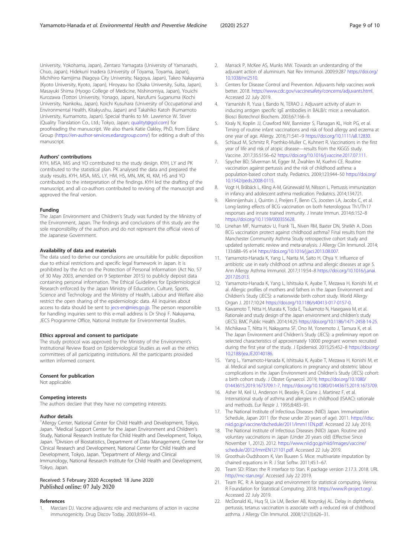<span id="page-8-0"></span>University, Yokohama, Japan), Zentaro Yamagata (University of Yamanashi, Chuo, Japan), Hidekuni Inadera (University of Toyama, Toyama, Japan), Michihiro Kamijima (Nagoya City University, Nagoya, Japan), Takeo Nakayama (Kyoto University, Kyoto, Japan), Hiroyasu Iso (Osaka University, Suita, Japan), Masayuki Shima (Hyogo College of Medicine, Nishinomiya, Japan), Youichi Kurozawa (Tottori University, Yonago, Japan), Narufumi Suganuma (Kochi University, Nankoku, Japan), Koichi Kusuhara (University of Occupational and Environmental Health, Kitakyushu, Japan) and Takahiko Katoh (Kumamoto University, Kumamoto, Japan). Special thanks to Mr. Lawrence W. Stiver (Quality Translation Co., Ltd.; Tokyo, Japan; [qualityt@gol.com\)](mailto:qualityt@gol.com) for proofreading the manuscript. We also thank Katie Oakley, PhD, from Edanz Group ([https://en-author-services.edanzgroup.com/\)](https://en-author-services.edanzgroup.com/) for editing a draft of this manuscript.

#### Authors' contributions

KYH, MSA, MiS and YO contributed to the study design. KYH, LY and PK contributed to the statistical plan. PK analysed the data and prepared the study results. KYH, MSA, MiS, LY, HM, HS, MN, MK, KI, KM, HS and YO contributed to the interpretation of the findings. KYH led the drafting of the manuscript, and all co-authors contributed to revising of the manuscript and approved the final version.

#### Funding

The Japan Environment and Children's Study was funded by the Ministry of the Environment, Japan. The findings and conclusions of this study are the sole responsibility of the authors and do not represent the official views of the Japanese Government.

#### Availability of data and materials

The data used to derive our conclusions are unsuitable for public deposition due to ethical restrictions and specific legal framework in Japan. It is prohibited by the Act on the Protection of Personal Information (Act No. 57 of 30 May 2003, amended on 9 September 2015) to publicly deposit data containing personal information. The Ethical Guidelines for Epidemiological Research enforced by the Japan Ministry of Education, Culture, Sports, Science and Technology and the Ministry of Health, Labour and Welfare also restrict the open sharing of the epidemiologic data. All inquiries about access to data should be sent to [jecs-en@nies.go.jp.](mailto:jecs-en@nies.go.jp) The person responsible for handling inquiries sent to this e-mail address is Dr Shoji F. Nakayama, JECS Programme Office, National Institute for Environmental Studies.

#### Ethics approval and consent to participate

The study protocol was approved by the Ministry of the Environment's Institutional Review Board on Epidemiological Studies as well as the ethics committees of all participating institutions. All the participants provided written informed consent.

#### Consent for publication

Not applicable.

#### Competing interests

The authors declare that they have no competing interests.

#### Author details

<sup>1</sup> Allergy Center, National Center for Child Health and Development, Tokyo, Japan.<sup>2</sup>Medical Support Center for the Japan Environment and Children's Study, National Research Institute for Child Health and Development, Tokyo, Japan. <sup>3</sup>Division of Biostatistics, Department of Data Management, Center for Clinical Research and Development, National Center for Child Health and Development, Tokyo, Japan. <sup>4</sup>Department of Allergy and Clinical Immunology, National Research Institute for Child Health and Development, Tokyo, Japan.

#### Received: 5 February 2020 Accepted: 18 June 2020 Published online: 07 July 2020

#### References

1. Marciani DJ. Vaccine adjuvants: role and mechanisms of action in vaccine immunogenicity. Drug Discov Today. 2003;8:934–43.

- 2. Marrack P, McKee AS, Munks MW. Towards an understanding of the adjuvant action of aluminium. Nat Rev Immunol. 2009;9:287 [https://doi.org/](https://doi.org/10.1038/nri2510) [10.1038/nri2510.](https://doi.org/10.1038/nri2510)
- 3. Centers for Disease Control and Prevention. Adjuvants help vaccines work better. 2018. [https://www.cdc.gov/vaccinesafety/concerns/adjuvants.html.](https://www.cdc.gov/vaccinesafety/concerns/adjuvants.html) Accessed 22 July 2019.
- 4. Yamanishi R, Yusa I, Bando N, TERAO J. Adjuvant activity of alum in inducing antigen specific IgE antibodies in BALB/c mice: a reevaluation. Biosci Biotechnol Biochem. 2003;67:166–9.
- 5. Kiraly N, Koplin JJ, Crawford NW, Bannister S, Flanagan KL, Holt PG, et al. Timing of routine infant vaccinations and risk of food allergy and eczema at one year of age. Allergy. 2016;71:541–9 <https://doi.org/10.1111/all.12830>.
- 6. Schlaud M, Schmitz R, Poethko-Muller C, Kuhnert R. Vaccinations in the first year of life and risk of atopic disease—results from the KiGGS study. Vaccine. 2017;35:5156–62 <https://doi.org/10.1016/j.vaccine.2017.07.111>.
- 7. Spycher BD, Silverman M, Egger M, Zwahlen M, Kuehni CE. Routine vaccination against pertussis and the risk of childhood asthma: a population-based cohort study. Pediatrics. 2009;123:944–50 [https://doi.org/](https://doi.org/10.1542/peds.2008-0115) [10.1542/peds.2008-0115](https://doi.org/10.1542/peds.2008-0115).
- 8. Vogt H, Bråbäck L, Kling A-M, Grünewald M, Nilsson L. Pertussis immunization in infancy and adolescent asthma medication. Pediatrics. 2014;134:721.
- Kleinnijenhuis J, Quintin J, Preijers F, Benn CS, Joosten LA, Jacobs C, et al. Long-lasting effects of BCG vaccination on both heterologous Th1/Th17 responses and innate trained immunity. J Innate Immun. 2014;6:152–8 [https://doi.org/10.1159/000355628.](https://doi.org/10.1159/000355628)
- 10. Linehan MF, Nurmatov U, Frank TL, Niven RM, Baxter DN, Sheikh A. Does BCG vaccination protect against childhood asthma? Final results from the Manchester Community Asthma Study retrospective cohort study and updated systematic review and meta-analysis. J Allergy Clin Immunol. 2014; 133:688–95 e14 [https://doi.org/10.1016/j.jaci.2013.08.007.](https://doi.org/10.1016/j.jaci.2013.08.007)
- 11. Yamamoto-Hanada K, Yang L, Narita M, Saito H, Ohya Y. Influence of antibiotic use in early childhood on asthma and allergic diseases at age 5. Ann Allergy Asthma Immunol. 2017;119:54–8 [https://doi.org/10.1016/j.anai.](https://doi.org/10.1016/j.anai.2017.05.013) [2017.05.013.](https://doi.org/10.1016/j.anai.2017.05.013)
- 12. Yamamoto-Hanada K, Yang L, Ishitsuka K, Ayabe T, Mezawa H, Konishi M, et al. Allergic profiles of mothers and fathers in the Japan Environment and Children's Study (JECS): a nationwide birth cohort study. World Allergy Organ J. 2017;10:24 [https://doi.org/10.1186/s40413-017-0157-0.](https://doi.org/10.1186/s40413-017-0157-0)
- 13. Kawamoto T, Nitta H, Murata K, Toda E, Tsukamoto N, Hasegawa M, et al. Rationale and study design of the Japan environment and children's study (JECS). BMC Public Health. 2014;14:25 [https://doi.org/10.1186/1471-2458-14-25.](https://doi.org/10.1186/1471-2458-14-25)
- 14. Michikawa T, Nitta H, Nakayama SF, Ono M, Yonemoto J, Tamura K, et al. The Japan Environment and Children's Study (JECS): a preliminary report on selected characteristics of approximately 10000 pregnant women recruited during the first year of the study. J Epidemiol. 2015;25:452–8 [https://doi.org/](https://doi.org/10.2188/jea.JE20140186) [10.2188/jea.JE20140186](https://doi.org/10.2188/jea.JE20140186).
- 15. Yang L, Yamamoto-Hanada K, Ishitsuka K, Ayabe T, Mezawa H, Konishi M, et al. Medical and surgical complications in pregnancy and obstetric labour complications in the Japan Environment and Children's Study (JECS) cohort: a birth cohort study. J Obstet Gynaecol. 2019; [https://doi.org/10.1080/](https://doi.org/10.1080/01443615.2019.1673709.1-7) [01443615.2019.1673709.1-7](https://doi.org/10.1080/01443615.2019.1673709.1-7), [https://doi.org/10.1080/01443615.2019.1673709.](https://doi.org/10.1080/01443615.2019.1673709)
- 16. Asher M, Keil U, Anderson H, Beasley R, Crane J, Martinez F, et al. International study of asthma and allergies in childhood (ISAAC): rationale and methods. Eur Respir J. 1995;8:483–91.
- 17. The National Institute of Infectious Diseases (NIID) Japan. Immunization Schedule, Japan 2011 (for those under 20 years of age). 2011. [https://idsc.](https://idsc.niid.go.jp/vaccine/dschedule/2011/Imm11EN.pdf) [niid.go.jp/vaccine/dschedule/2011/Imm11EN.pdf](https://idsc.niid.go.jp/vaccine/dschedule/2011/Imm11EN.pdf). Accessed 22 July 2019.
- 18. The National Institute of Infectious Diseases (NIID) Japan. Routine and voluntary vaccinations in Japan (Under 20 years old) (Effective Since November 1, 2012). 2012. [https://www.niid.go.jp/niid/images/vaccine/](https://www.niid.go.jp/niid/images/vaccine/schedule/2012/ImmEN121101.pdf) [schedule/2012/ImmEN121101.pdf.](https://www.niid.go.jp/niid/images/vaccine/schedule/2012/ImmEN121101.pdf) Accessed 22 July 2019.
- 19. Groothuis-Oudshoorn K, Van Buuren S. Mice: multivariate imputation by chained equations in R. J Stat Softw. 2011;45:1–67.
- 20. Team SD: RStan: the R interface to Stan. R package version 2.17.3. 2018. URL [http://mc-stan.org/.](http://mc-stan.org/) Accessed July 22 2019.
- 21. Team RC. R: A language and environment for statistical computing. Vienna: R Foundation for Statistical Computing; 2018. [https://www.R-project.org/](https://www.r-project.org/). Accessed 22 July 2019.
- 22. McDonald KL, Huq SI, Lix LM, Becker AB, Kozyrskyj AL. Delay in diphtheria, pertussis, tetanus vaccination is associate with a reduced risk of childhood asthma. J Allergy Clin Immunol. 2008;121(3):626–31.